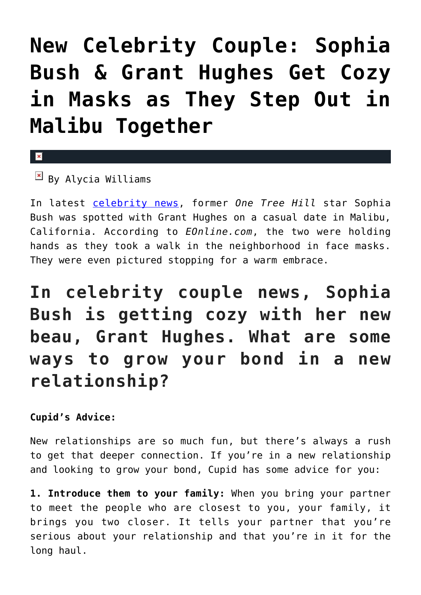# **[New Celebrity Couple: Sophia](https://cupidspulse.com/134701/new-celebrity-couple-sophia-bush-grant-hughes-step-out-malibu/) [Bush & Grant Hughes Get Cozy](https://cupidspulse.com/134701/new-celebrity-couple-sophia-bush-grant-hughes-step-out-malibu/) [in Masks as They Step Out in](https://cupidspulse.com/134701/new-celebrity-couple-sophia-bush-grant-hughes-step-out-malibu/) [Malibu Together](https://cupidspulse.com/134701/new-celebrity-couple-sophia-bush-grant-hughes-step-out-malibu/)**

### $\mathbf{x}$

### $\boxed{\times}$  By Alycia Williams

In latest [celebrity news,](http://cupidspulse.com) former *One Tree Hill* star Sophia Bush was spotted with Grant Hughes on a casual date in Malibu, California. According to *EOnline.com*, the two were holding hands as they took a walk in the neighborhood in face masks. They were even pictured stopping for a warm embrace.

**In celebrity couple news, Sophia Bush is getting cozy with her new beau, Grant Hughes. What are some ways to grow your bond in a new relationship?**

### **Cupid's Advice:**

New relationships are so much fun, but there's always a rush to get that deeper connection. If you're in a new relationship and looking to grow your bond, Cupid has some advice for you:

**1. Introduce them to your family:** When you bring your partner to meet the people who are closest to you, your family, it brings you two closer. It tells your partner that you're serious about your relationship and that you're in it for the long haul.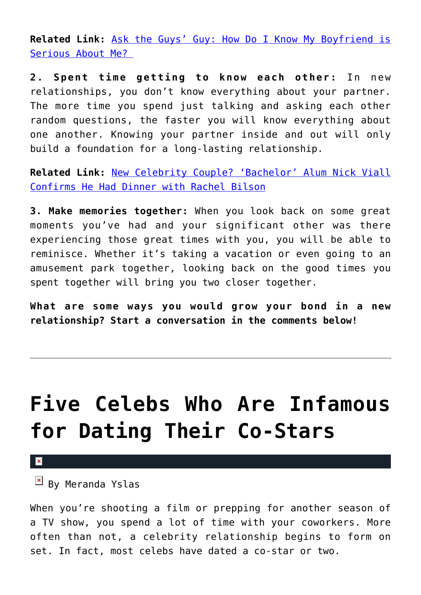**Related Link:** [Ask the Guys' Guy: How Do I Know My Boyfriend is](http://cupidspulse.com/133301/ask-guys-guy-boyfriend-serious-about-me/) [Serious About Me?](http://cupidspulse.com/133301/ask-guys-guy-boyfriend-serious-about-me/) 

**2. Spent time getting to know each other:** In new relationships, you don't know everything about your partner. The more time you spend just talking and asking each other random questions, the faster you will know everything about one another. Knowing your partner inside and out will only build a foundation for a long-lasting relationship.

**Related Link:** [New Celebrity Couple? 'Bachelor' Alum Nick Viall](http://cupidspulse.com/133947/new-celebrity-couple-bachelor-nick-viall-confirms-dinner-rachel-bilson/) [Confirms He Had Dinner with Rachel Bilson](http://cupidspulse.com/133947/new-celebrity-couple-bachelor-nick-viall-confirms-dinner-rachel-bilson/)

**3. Make memories together:** When you look back on some great moments you've had and your significant other was there experiencing those great times with you, you will be able to reminisce. Whether it's taking a vacation or even going to an amusement park together, looking back on the good times you spent together will bring you two closer together.

**What are some ways you would grow your bond in a new relationship? Start a conversation in the comments below!** 

# **[Five Celebs Who Are Infamous](https://cupidspulse.com/98788/five-celebs-infamous-dating-co-stars/) [for Dating Their Co-Stars](https://cupidspulse.com/98788/five-celebs-infamous-dating-co-stars/)**

 $\pmb{\times}$ 

 $\mathbb{E}$  By Meranda Yslas

When you're shooting a film or prepping for another season of a TV show, you spend a lot of time with your coworkers. More often than not, a celebrity relationship begins to form on set. In fact, most celebs have dated a co-star or two.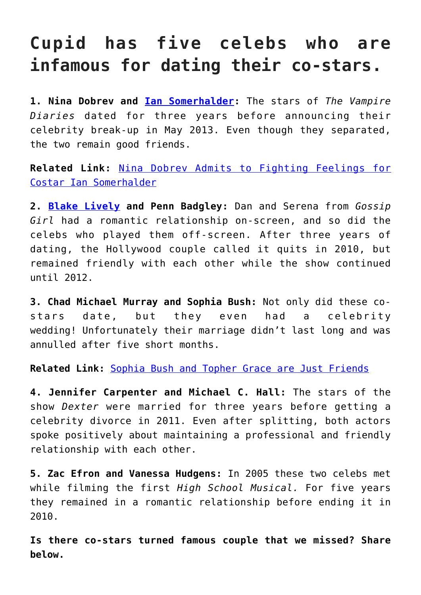### **Cupid has five celebs who are infamous for dating their co-stars.**

**1. Nina Dobrev and [Ian Somerhalder](http://cupidspulse.com/94265/ian-somerhalder/):** The stars of *The Vampire Diaries* dated for three years before announcing their celebrity break-up in May 2013. Even though they separated, the two remain good friends.

**Related Link:** [Nina Dobrev Admits to Fighting Feelings for](http://cupidspulse.com/37795/nina-dobrev-fought-feelings-costar-ian-somerhalder-vampire-diaries/) [Costar Ian Somerhalder](http://cupidspulse.com/37795/nina-dobrev-fought-feelings-costar-ian-somerhalder-vampire-diaries/)

**2. [Blake Lively](http://cupidspulse.com/93047/blake-lively/) and Penn Badgley:** Dan and Serena from *Gossip Girl* had a romantic relationship on-screen, and so did the celebs who played them off-screen. After three years of dating, the Hollywood couple called it quits in 2010, but remained friendly with each other while the show continued until 2012.

**3. Chad Michael Murray and Sophia Bush:** Not only did these costars date, but they even had a celebrity wedding! Unfortunately their marriage didn't last long and was annulled after five short months.

**Related Link:** [Sophia Bush and Topher Grace are Just Friends](http://cupidspulse.com/35799/sophia-bush-denies-rumors-of-dating-topher-grace/)

**4. Jennifer Carpenter and Michael C. Hall:** The stars of the show *Dexter* were married for three years before getting a celebrity divorce in 2011. Even after splitting, both actors spoke positively about maintaining a professional and friendly relationship with each other.

**5. Zac Efron and Vanessa Hudgens:** In 2005 these two celebs met while filming the first *High School Musical.* For five years they remained in a romantic relationship before ending it in 2010.

**Is there co-stars turned famous couple that we missed? Share below.**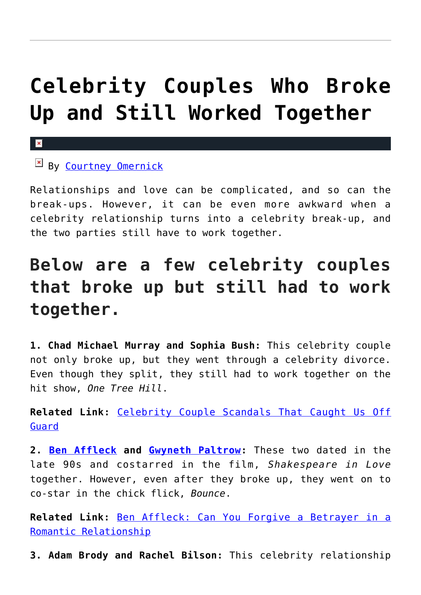# **[Celebrity Couples Who Broke](https://cupidspulse.com/97611/celebrity-couples-broke-up-still-worked-together/) [Up and Still Worked Together](https://cupidspulse.com/97611/celebrity-couples-broke-up-still-worked-together/)**

### $\boxed{\times}$  By [Courtney Omernick](http://cupidspulse.com/105759/courtney-omernick/)

 $\mathbf{x}$ 

Relationships and love can be complicated, and so can the break-ups. However, it can be even more awkward when a celebrity relationship turns into a celebrity break-up, and the two parties still have to work together.

## **Below are a few celebrity couples that broke up but still had to work together.**

**1. Chad Michael Murray and Sophia Bush:** This celebrity couple not only broke up, but they went through a celebrity divorce. Even though they split, they still had to work together on the hit show, *One Tree Hill*.

**Related Link:** [Celebrity Couple Scandals That Caught Us Off](http://cupidspulse.com/95560/celebrity-couple-scandals-off-guard/) [Guard](http://cupidspulse.com/95560/celebrity-couple-scandals-off-guard/)

**2. [Ben Affleck](http://cupidspulse.com/87708/ben-affleck/) and [Gwyneth Paltrow](http://cupidspulse.com/86071/gwyneth-paltrow/):** These two dated in the late 90s and costarred in the film, *Shakespeare in Love* together. However, even after they broke up, they went on to co-star in the chick flick, *Bounce*.

**Related Link:** [Ben Affleck: Can You Forgive a Betrayer in a](http://cupidspulse.com/96825/ben-affleck-forgive-betrayer-romantic-relationship/) [Romantic Relationship](http://cupidspulse.com/96825/ben-affleck-forgive-betrayer-romantic-relationship/)

**3. Adam Brody and Rachel Bilson:** This celebrity relationship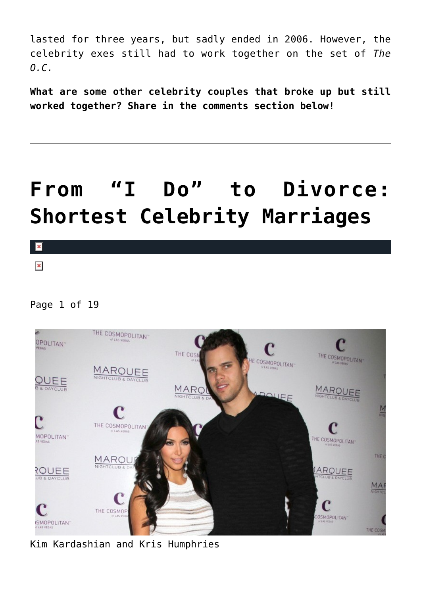lasted for three years, but sadly ended in 2006. However, the celebrity exes still had to work together on the set of *The O.C.*

**What are some other celebrity couples that broke up but still worked together? Share in the comments section below!**

# **[From "I Do" to Divorce:](https://cupidspulse.com/94732/shortest-celebrity-marriages/) [Shortest Celebrity Marriages](https://cupidspulse.com/94732/shortest-celebrity-marriages/)**

 $\pmb{\times}$  $\pmb{\times}$ 

Page 1 of 19



Kim Kardashian and Kris Humphries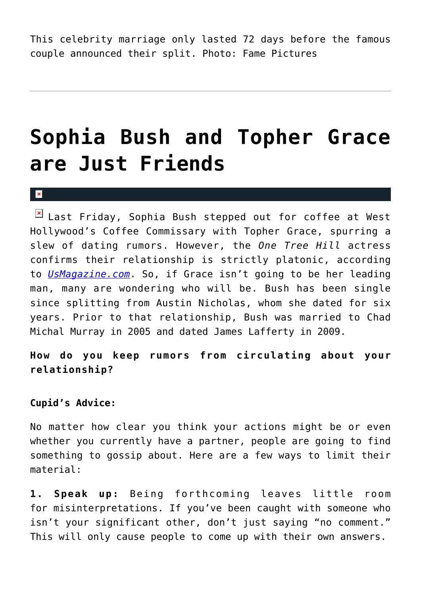This celebrity marriage only lasted 72 days before the famous couple announced their split. Photo: Fame Pictures

## **[Sophia Bush and Topher Grace](https://cupidspulse.com/35799/sophia-bush-denies-rumors-of-dating-topher-grace/) [are Just Friends](https://cupidspulse.com/35799/sophia-bush-denies-rumors-of-dating-topher-grace/)**

#### $\mathbf x$

 $\boxed{\times}$  Last Friday, Sophia Bush stepped out for coffee at West Hollywood's Coffee Commissary with Topher Grace, spurring a slew of dating rumors. However, the *One Tree Hill* actress confirms their relationship is strictly platonic, according to *[UsMagazine.com](http://www.usmagazine.com/celebrity-news/news/sophia-bush-im-not-dating-topher-grace-2012297)*. So, if Grace isn't going to be her leading man, many are wondering who will be. Bush has been single since splitting from Austin Nicholas, whom she dated for six years. Prior to that relationship, Bush was married to Chad Michal Murray in 2005 and dated James Lafferty in 2009.

**How do you keep rumors from circulating about your relationship?**

#### **Cupid's Advice:**

No matter how clear you think your actions might be or even whether you currently have a partner, people are going to find something to gossip about. Here are a few ways to limit their material:

**1. Speak up:** Being forthcoming leaves little room for misinterpretations. If you've been caught with someone who isn't your significant other, don't just saying "no comment." This will only cause people to come up with their own answers.